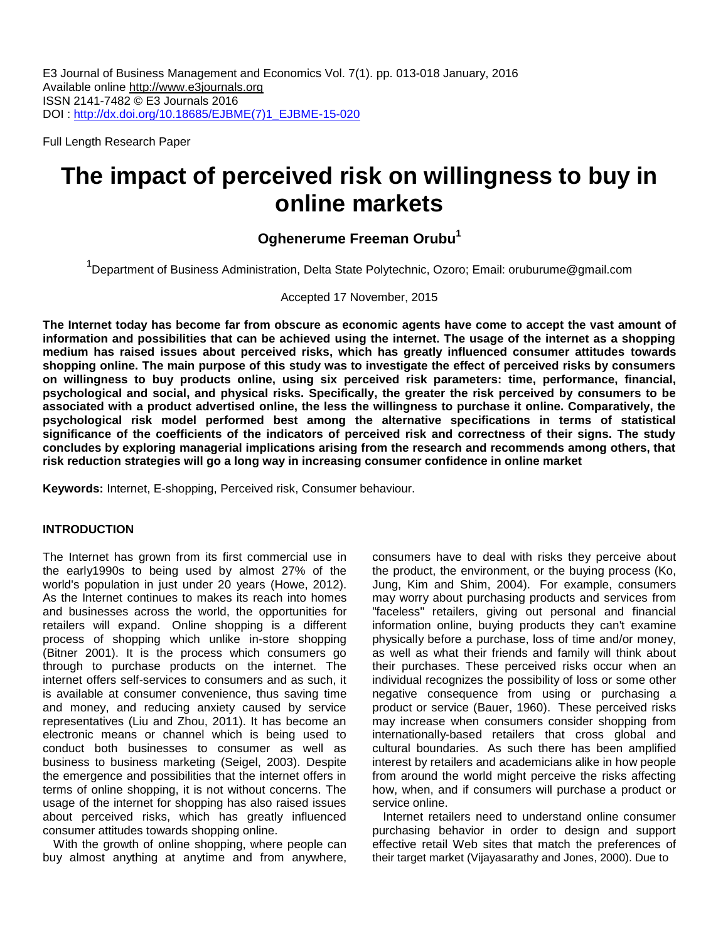E3 Journal of Business Management and Economics Vol. 7(1). pp. 013-018 January, 2016 Available online [http://www.e3journals.org](http://www.e3journals.org/) ISSN 2141-7482 © E3 Journals 2016 DOI : [http://dx.doi.org/10.18685/EJBME\(7\)1\\_EJBME-15-020](http://dx.doi.org/10.18685/EJBME(7)1_EJBME-15-020)

Full Length Research Paper

# **The impact of perceived risk on willingness to buy in online markets**

# **Oghenerume Freeman Orubu<sup>1</sup>**

<sup>1</sup>Department of Business Administration, Delta State Polytechnic, Ozoro; Email: oruburume@gmail.com

# Accepted 17 November, 2015

**The Internet today has become far from obscure as economic agents have come to accept the vast amount of information and possibilities that can be achieved using the internet. The usage of the internet as a shopping medium has raised issues about perceived risks, which has greatly influenced consumer attitudes towards shopping online. The main purpose of this study was to investigate the effect of perceived risks by consumers on willingness to buy products online, using six perceived risk parameters: time, performance, financial, psychological and social, and physical risks. Specifically, the greater the risk perceived by consumers to be associated with a product advertised online, the less the willingness to purchase it online. Comparatively, the psychological risk model performed best among the alternative specifications in terms of statistical significance of the coefficients of the indicators of perceived risk and correctness of their signs. The study concludes by exploring managerial implications arising from the research and recommends among others, that risk reduction strategies will go a long way in increasing consumer confidence in online market**

**Keywords:** Internet, E-shopping, Perceived risk, Consumer behaviour.

# **INTRODUCTION**

The Internet has grown from its first commercial use in the early1990s to being used by almost 27% of the world's population in just under 20 years (Howe, 2012). As the Internet continues to makes its reach into homes and businesses across the world, the opportunities for retailers will expand. Online shopping is a different process of shopping which unlike in-store shopping (Bitner 2001). It is the process which consumers go through to purchase products on the internet. The internet offers self-services to consumers and as such, it is available at consumer convenience, thus saving time and money, and reducing anxiety caused by service representatives (Liu and Zhou, 2011). It has become an electronic means or channel which is being used to conduct both businesses to consumer as well as business to business marketing (Seigel, 2003). Despite the emergence and possibilities that the internet offers in terms of online shopping, it is not without concerns. The usage of the internet for shopping has also raised issues about perceived risks, which has greatly influenced consumer attitudes towards shopping online.

With the growth of online shopping, where people can buy almost anything at anytime and from anywhere, consumers have to deal with risks they perceive about the product, the environment, or the buying process (Ko, Jung, Kim and Shim, 2004). For example, consumers may worry about purchasing products and services from "faceless" retailers, giving out personal and financial information online, buying products they can't examine physically before a purchase, loss of time and/or money, as well as what their friends and family will think about their purchases. These perceived risks occur when an individual recognizes the possibility of loss or some other negative consequence from using or purchasing a product or service (Bauer, 1960). These perceived risks may increase when consumers consider shopping from internationally-based retailers that cross global and cultural boundaries. As such there has been amplified interest by retailers and academicians alike in how people from around the world might perceive the risks affecting how, when, and if consumers will purchase a product or service online.

Internet retailers need to understand online consumer purchasing behavior in order to design and support effective retail Web sites that match the preferences of their target market (Vijayasarathy and Jones, 2000). Due to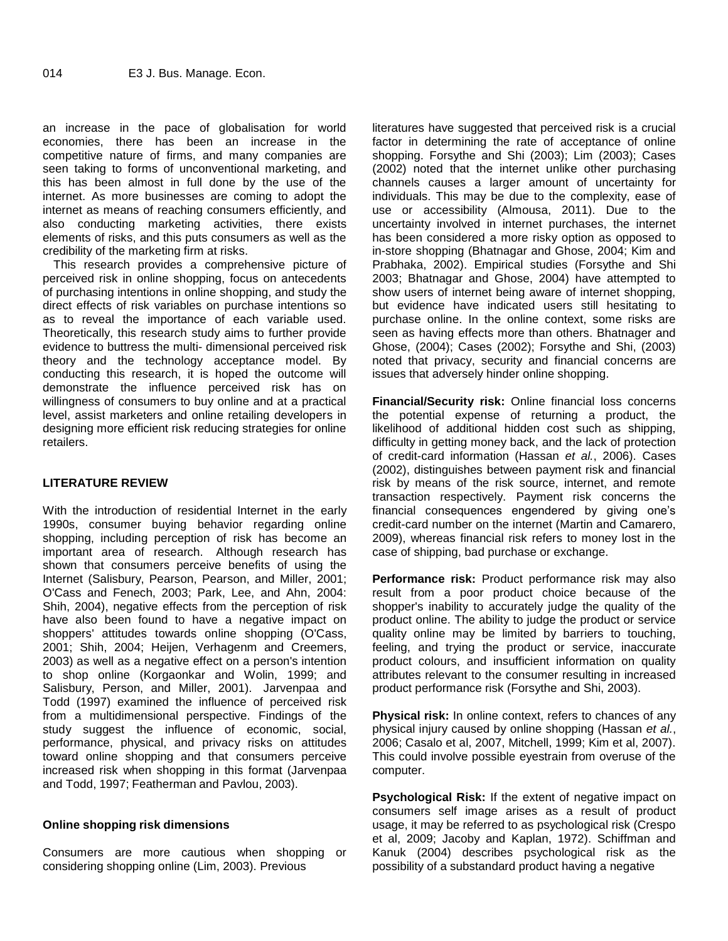an increase in the pace of globalisation for world economies, there has been an increase in the competitive nature of firms, and many companies are seen taking to forms of unconventional marketing, and this has been almost in full done by the use of the internet. As more businesses are coming to adopt the internet as means of reaching consumers efficiently, and also conducting marketing activities, there exists elements of risks, and this puts consumers as well as the credibility of the marketing firm at risks.

This research provides a comprehensive picture of perceived risk in online shopping, focus on antecedents of purchasing intentions in online shopping, and study the direct effects of risk variables on purchase intentions so as to reveal the importance of each variable used. Theoretically, this research study aims to further provide evidence to buttress the multi- dimensional perceived risk theory and the technology acceptance model. By conducting this research, it is hoped the outcome will demonstrate the influence perceived risk has on willingness of consumers to buy online and at a practical level, assist marketers and online retailing developers in designing more efficient risk reducing strategies for online retailers.

# **LITERATURE REVIEW**

With the introduction of residential Internet in the early 1990s, consumer buying behavior regarding online shopping, including perception of risk has become an important area of research. Although research has shown that consumers perceive benefits of using the Internet (Salisbury, Pearson, Pearson, and Miller, 2001; O'Cass and Fenech, 2003; Park, Lee, and Ahn, 2004: Shih, 2004), negative effects from the perception of risk have also been found to have a negative impact on shoppers' attitudes towards online shopping (O'Cass, 2001; Shih, 2004; Heijen, Verhagenm and Creemers, 2003) as well as a negative effect on a person's intention to shop online (Korgaonkar and Wolin, 1999; and Salisbury, Person, and Miller, 2001). Jarvenpaa and Todd (1997) examined the influence of perceived risk from a multidimensional perspective. Findings of the study suggest the influence of economic, social, performance, physical, and privacy risks on attitudes toward online shopping and that consumers perceive increased risk when shopping in this format (Jarvenpaa and Todd, 1997; Featherman and Pavlou, 2003).

# **Online shopping risk dimensions**

Consumers are more cautious when shopping or considering shopping online (Lim, 2003). Previous

literatures have suggested that perceived risk is a crucial factor in determining the rate of acceptance of online shopping. Forsythe and Shi (2003); Lim (2003); Cases (2002) noted that the internet unlike other purchasing channels causes a larger amount of uncertainty for individuals. This may be due to the complexity, ease of use or accessibility (Almousa, 2011). Due to the uncertainty involved in internet purchases, the internet has been considered a more risky option as opposed to in-store shopping (Bhatnagar and Ghose, 2004; Kim and Prabhaka, 2002). Empirical studies (Forsythe and Shi 2003; Bhatnagar and Ghose, 2004) have attempted to show users of internet being aware of internet shopping, but evidence have indicated users still hesitating to purchase online. In the online context, some risks are seen as having effects more than others. Bhatnager and Ghose, (2004); Cases (2002); Forsythe and Shi, (2003) noted that privacy, security and financial concerns are issues that adversely hinder online shopping.

**Financial/Security risk:** Online financial loss concerns the potential expense of returning a product, the likelihood of additional hidden cost such as shipping, difficulty in getting money back, and the lack of protection of credit-card information (Hassan *et al.*, 2006). Cases (2002), distinguishes between payment risk and financial risk by means of the risk source, internet, and remote transaction respectively. Payment risk concerns the financial consequences engendered by giving one's credit-card number on the internet (Martin and Camarero, 2009), whereas financial risk refers to money lost in the case of shipping, bad purchase or exchange.

**Performance risk:** Product performance risk may also result from a poor product choice because of the shopper's inability to accurately judge the quality of the product online. The ability to judge the product or service quality online may be limited by barriers to touching, feeling, and trying the product or service, inaccurate product colours, and insufficient information on quality attributes relevant to the consumer resulting in increased product performance risk (Forsythe and Shi, 2003).

**Physical risk:** In online context, refers to chances of any physical injury caused by online shopping (Hassan *et al.*, 2006; Casalo et al, 2007, Mitchell, 1999; Kim et al, 2007). This could involve possible eyestrain from overuse of the computer.

**Psychological Risk:** If the extent of negative impact on consumers self image arises as a result of product usage, it may be referred to as psychological risk (Crespo et al, 2009; Jacoby and Kaplan, 1972). Schiffman and Kanuk (2004) describes psychological risk as the possibility of a substandard product having a negative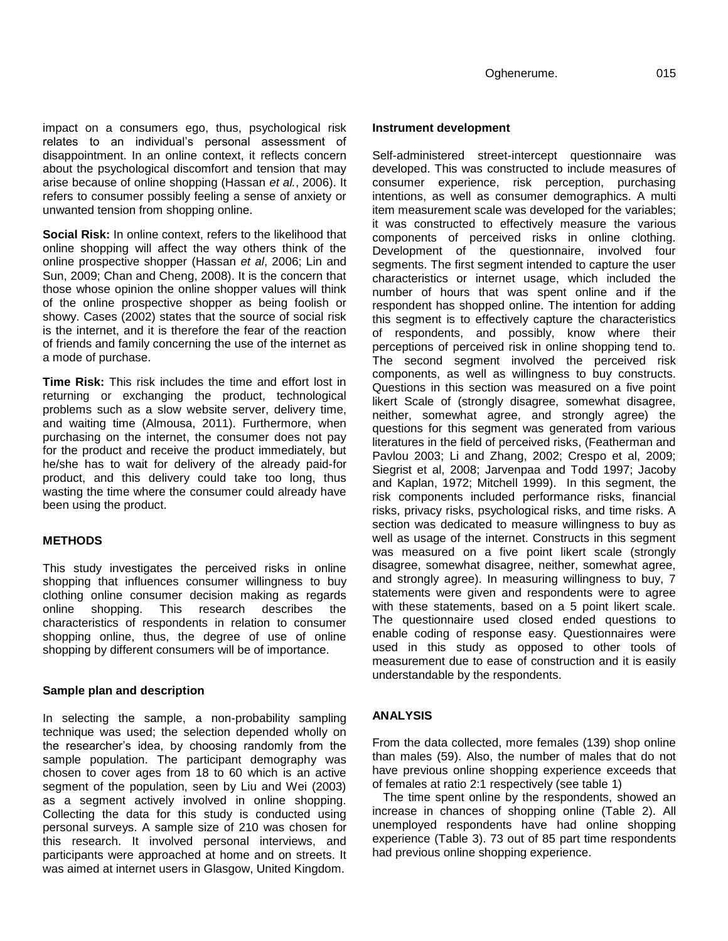impact on a consumers ego, thus, psychological risk relates to an individual's personal assessment of disappointment. In an online context, it reflects concern about the psychological discomfort and tension that may arise because of online shopping (Hassan *et al.*, 2006). It refers to consumer possibly feeling a sense of anxiety or unwanted tension from shopping online.

**Social Risk:** In online context, refers to the likelihood that online shopping will affect the way others think of the online prospective shopper (Hassan *et al*, 2006; Lin and Sun, 2009; Chan and Cheng, 2008). It is the concern that those whose opinion the online shopper values will think of the online prospective shopper as being foolish or showy. Cases (2002) states that the source of social risk is the internet, and it is therefore the fear of the reaction of friends and family concerning the use of the internet as a mode of purchase.

**Time Risk:** This risk includes the time and effort lost in returning or exchanging the product, technological problems such as a slow website server, delivery time, and waiting time (Almousa, 2011). Furthermore, when purchasing on the internet, the consumer does not pay for the product and receive the product immediately, but he/she has to wait for delivery of the already paid-for product, and this delivery could take too long, thus wasting the time where the consumer could already have been using the product.

# **METHODS**

This study investigates the perceived risks in online shopping that influences consumer willingness to buy clothing online consumer decision making as regards online shopping. This research describes the characteristics of respondents in relation to consumer shopping online, thus, the degree of use of online shopping by different consumers will be of importance.

#### **Sample plan and description**

In selecting the sample, a non-probability sampling technique was used; the selection depended wholly on the researcher's idea, by choosing randomly from the sample population. The participant demography was chosen to cover ages from 18 to 60 which is an active segment of the population, seen by Liu and Wei (2003) as a segment actively involved in online shopping. Collecting the data for this study is conducted using personal surveys. A sample size of 210 was chosen for this research. It involved personal interviews, and participants were approached at home and on streets. It was aimed at internet users in Glasgow, United Kingdom.

#### **Instrument development**

Self-administered street-intercept questionnaire was developed. This was constructed to include measures of consumer experience, risk perception, purchasing intentions, as well as consumer demographics. A multi item measurement scale was developed for the variables; it was constructed to effectively measure the various components of perceived risks in online clothing. Development of the questionnaire, involved four segments. The first segment intended to capture the user characteristics or internet usage, which included the number of hours that was spent online and if the respondent has shopped online. The intention for adding this segment is to effectively capture the characteristics of respondents, and possibly, know where their perceptions of perceived risk in online shopping tend to. The second segment involved the perceived risk components, as well as willingness to buy constructs. Questions in this section was measured on a five point likert Scale of (strongly disagree, somewhat disagree, neither, somewhat agree, and strongly agree) the questions for this segment was generated from various literatures in the field of perceived risks, (Featherman and Pavlou 2003; Li and Zhang, 2002; Crespo et al, 2009; Siegrist et al, 2008; Jarvenpaa and Todd 1997; Jacoby and Kaplan, 1972; Mitchell 1999). In this segment, the risk components included performance risks, financial risks, privacy risks, psychological risks, and time risks. A section was dedicated to measure willingness to buy as well as usage of the internet. Constructs in this segment was measured on a five point likert scale (strongly disagree, somewhat disagree, neither, somewhat agree, and strongly agree). In measuring willingness to buy, 7 statements were given and respondents were to agree with these statements, based on a 5 point likert scale. The questionnaire used closed ended questions to enable coding of response easy. Questionnaires were used in this study as opposed to other tools of measurement due to ease of construction and it is easily understandable by the respondents.

# **ANALYSIS**

From the data collected, more females (139) shop online than males (59). Also, the number of males that do not have previous online shopping experience exceeds that of females at ratio 2:1 respectively (see table 1)

The time spent online by the respondents, showed an increase in chances of shopping online (Table 2). All unemployed respondents have had online shopping experience (Table 3). 73 out of 85 part time respondents had previous online shopping experience.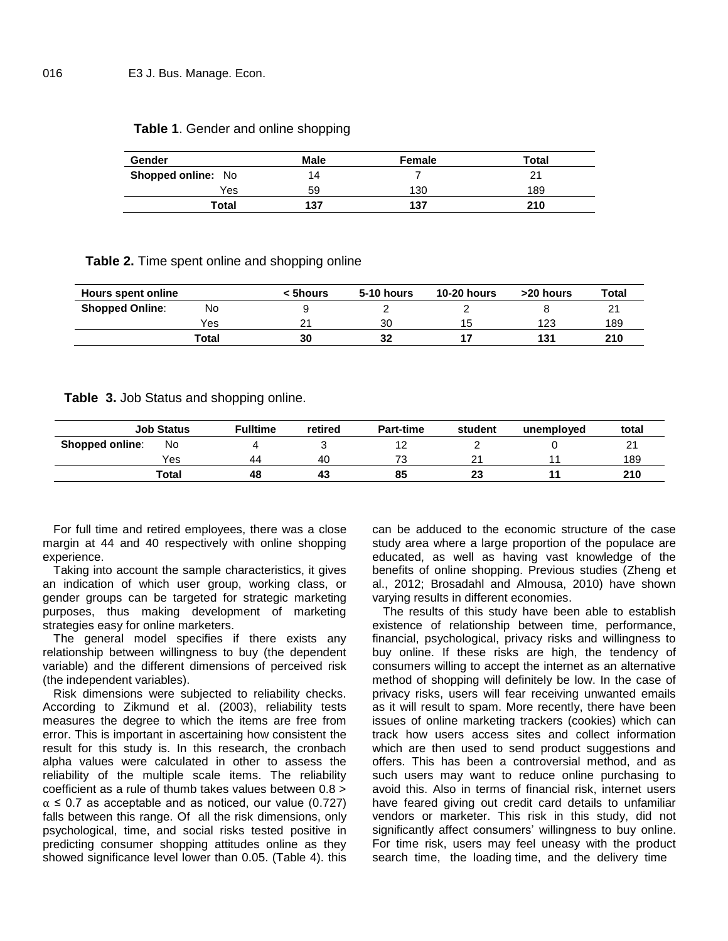| Gender                    | Male | Female | Total |
|---------------------------|------|--------|-------|
| <b>Shopped online: No</b> | 14   |        |       |
| Yes                       | 59   | 130    | 189   |
| Total                     | 137  | 137    | 210   |

# **Table 1**. Gender and online shopping

**Table 2.** Time spent online and shopping online

| Hours spent online     |       | < 5hours | <b>10-20 hours</b><br>5-10 hours |    | >20 hours | Total |  |
|------------------------|-------|----------|----------------------------------|----|-----------|-------|--|
| <b>Shopped Online:</b> | No    |          |                                  |    |           | 21    |  |
|                        | Yes   | 21       | 30                               | 15 | 123       | 189   |  |
|                        | Total | 30       | 32                               |    | 131       | 210   |  |

**Table 3.** Job Status and shopping online.

|                        | <b>Job Status</b> | <b>Fulltime</b> | retired | <b>Part-time</b> | student | unemploved | total   |
|------------------------|-------------------|-----------------|---------|------------------|---------|------------|---------|
| <b>Shopped online:</b> | No                |                 |         | 1 Z              |         |            | n,<br>∠ |
|                        | Yes               | 44              | 40      | 72               | ົ       |            | 189     |
|                        | Total             | 48              | 43      | 85               | 23      |            | 210     |

For full time and retired employees, there was a close margin at 44 and 40 respectively with online shopping experience.

Taking into account the sample characteristics, it gives an indication of which user group, working class, or gender groups can be targeted for strategic marketing purposes, thus making development of marketing strategies easy for online marketers.

The general model specifies if there exists any relationship between willingness to buy (the dependent variable) and the different dimensions of perceived risk (the independent variables).

Risk dimensions were subjected to reliability checks. According to Zikmund et al. (2003), reliability tests measures the degree to which the items are free from error. This is important in ascertaining how consistent the result for this study is. In this research, the cronbach alpha values were calculated in other to assess the reliability of the multiple scale items. The reliability coefficient as a rule of thumb takes values between 0.8 >  $\alpha \leq 0.7$  as acceptable and as noticed, our value (0.727) falls between this range. Of all the risk dimensions, only psychological, time, and social risks tested positive in predicting consumer shopping attitudes online as they showed significance level lower than 0.05. (Table 4). this

can be adduced to the economic structure of the case study area where a large proportion of the populace are educated, as well as having vast knowledge of the benefits of online shopping. Previous studies (Zheng et al., 2012; Brosadahl and Almousa, 2010) have shown varying results in different economies.

The results of this study have been able to establish existence of relationship between time, performance, financial, psychological, privacy risks and willingness to buy online. If these risks are high, the tendency of consumers willing to accept the internet as an alternative method of shopping will definitely be low. In the case of privacy risks, users will fear receiving unwanted emails as it will result to spam. More recently, there have been issues of online marketing trackers (cookies) which can track how users access sites and collect information which are then used to send product suggestions and offers. This has been a controversial method, and as such users may want to reduce online purchasing to avoid this. Also in terms of financial risk, internet users have feared giving out credit card details to unfamiliar vendors or marketer. This risk in this study, did not significantly affect consumers' willingness to buy online. For time risk, users may feel uneasy with the product search time, the loading time, and the delivery time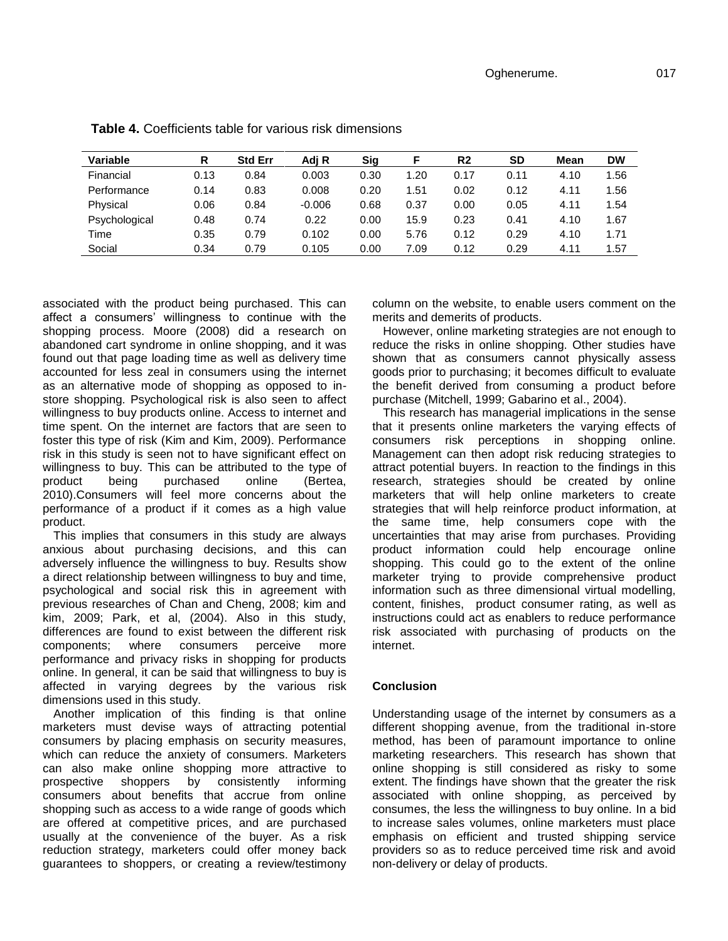| Variable      | R    | <b>Std Err</b> | Adi R    | Sig  |      | R <sub>2</sub> | <b>SD</b> | Mean | <b>DW</b> |
|---------------|------|----------------|----------|------|------|----------------|-----------|------|-----------|
| Financial     | 0.13 | 0.84           | 0.003    | 0.30 | 1.20 | 0.17           | 0.11      | 4.10 | 1.56      |
| Performance   | 0.14 | 0.83           | 0.008    | 0.20 | 1.51 | 0.02           | 0.12      | 4.11 | 1.56      |
| Physical      | 0.06 | 0.84           | $-0.006$ | 0.68 | 0.37 | 0.00           | 0.05      | 4.11 | 1.54      |
| Psychological | 0.48 | 0.74           | 0.22     | 0.00 | 15.9 | 0.23           | 0.41      | 4.10 | 1.67      |
| Time          | 0.35 | 0.79           | 0.102    | 0.00 | 5.76 | 0.12           | 0.29      | 4.10 | 1.71      |
| Social        | 0.34 | 0.79           | 0.105    | 0.00 | 7.09 | 0.12           | 0.29      | 4.11 | 1.57      |

**Table 4.** Coefficients table for various risk dimensions

associated with the product being purchased. This can affect a consumers' willingness to continue with the shopping process. Moore (2008) did a research on abandoned cart syndrome in online shopping, and it was found out that page loading time as well as delivery time accounted for less zeal in consumers using the internet as an alternative mode of shopping as opposed to instore shopping. Psychological risk is also seen to affect willingness to buy products online. Access to internet and time spent. On the internet are factors that are seen to foster this type of risk (Kim and Kim, 2009). Performance risk in this study is seen not to have significant effect on willingness to buy. This can be attributed to the type of product being purchased online (Bertea, 2010).Consumers will feel more concerns about the performance of a product if it comes as a high value product.

This implies that consumers in this study are always anxious about purchasing decisions, and this can adversely influence the willingness to buy. Results show a direct relationship between willingness to buy and time, psychological and social risk this in agreement with previous researches of Chan and Cheng, 2008; kim and kim, 2009; Park, et al, (2004). Also in this study, differences are found to exist between the different risk components; where consumers perceive more performance and privacy risks in shopping for products online. In general, it can be said that willingness to buy is affected in varying degrees by the various risk dimensions used in this study.

Another implication of this finding is that online marketers must devise ways of attracting potential consumers by placing emphasis on security measures, which can reduce the anxiety of consumers. Marketers can also make online shopping more attractive to prospective shoppers by consistently informing consumers about benefits that accrue from online shopping such as access to a wide range of goods which are offered at competitive prices, and are purchased usually at the convenience of the buyer. As a risk reduction strategy, marketers could offer money back guarantees to shoppers, or creating a review/testimony column on the website, to enable users comment on the merits and demerits of products.

However, online marketing strategies are not enough to reduce the risks in online shopping. Other studies have shown that as consumers cannot physically assess goods prior to purchasing; it becomes difficult to evaluate the benefit derived from consuming a product before purchase (Mitchell, 1999; Gabarino et al., 2004).

This research has managerial implications in the sense that it presents online marketers the varying effects of consumers risk perceptions in shopping online. Management can then adopt risk reducing strategies to attract potential buyers. In reaction to the findings in this research, strategies should be created by online marketers that will help online marketers to create strategies that will help reinforce product information, at the same time, help consumers cope with the uncertainties that may arise from purchases. Providing product information could help encourage online shopping. This could go to the extent of the online marketer trying to provide comprehensive product information such as three dimensional virtual modelling, content, finishes, product consumer rating, as well as instructions could act as enablers to reduce performance risk associated with purchasing of products on the internet.

# **Conclusion**

Understanding usage of the internet by consumers as a different shopping avenue, from the traditional in-store method, has been of paramount importance to online marketing researchers. This research has shown that online shopping is still considered as risky to some extent. The findings have shown that the greater the risk associated with online shopping, as perceived by consumes, the less the willingness to buy online. In a bid to increase sales volumes, online marketers must place emphasis on efficient and trusted shipping service providers so as to reduce perceived time risk and avoid non-delivery or delay of products.